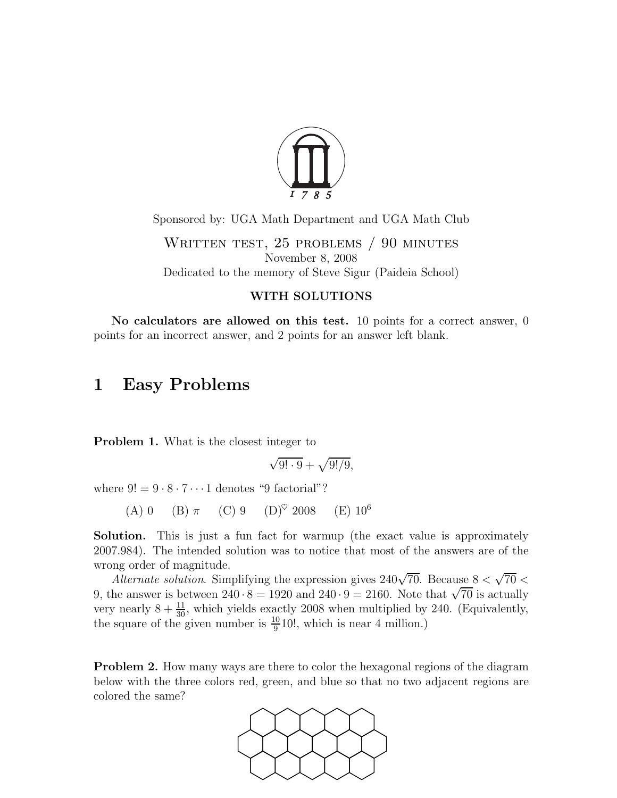

Sponsored by: UGA Math Department and UGA Math Club

WRITTEN TEST, 25 PROBLEMS / 90 MINUTES November 8, 2008 Dedicated to the memory of Steve Sigur (Paideia School)

### WITH SOLUTIONS

No calculators are allowed on this test. 10 points for a correct answer,  $0$ points for an incorrect answer, and 2 points for an answer left blank.

## 1 Easy Problems

Problem 1. What is the closest integer to

$$
\sqrt{9! \cdot 9} + \sqrt{9!/9},
$$

where  $9! = 9 \cdot 8 \cdot 7 \cdots 1$  denotes "9 factorial"?

(A) 0 (B)  $\pi$  (C) 9 (D)<sup> $\heartsuit$ </sup> 2008 (E) 10<sup>6</sup>

Solution. This is just a fun fact for warmup (the exact value is approximately 2007.984). The intended solution was to notice that most of the answers are of the wrong order of magnitude.

Alternate solution. Simplifying the expression gives  $240\sqrt{70}$ . Because  $8 < \sqrt{70} <$ 9, the answer is between  $240 \cdot 8 = 1920$  and  $240 \cdot 9 = 2160$ . Note that  $\sqrt{70}$  is actually very nearly  $8 + \frac{11}{30}$ , which yields exactly 2008 when multiplied by 240. (Equivalently, the square of the given number is  $\frac{10}{9}$ 10!, which is near 4 million.)

Problem 2. How many ways are there to color the hexagonal regions of the diagram below with the three colors red, green, and blue so that no two adjacent regions are colored the same?

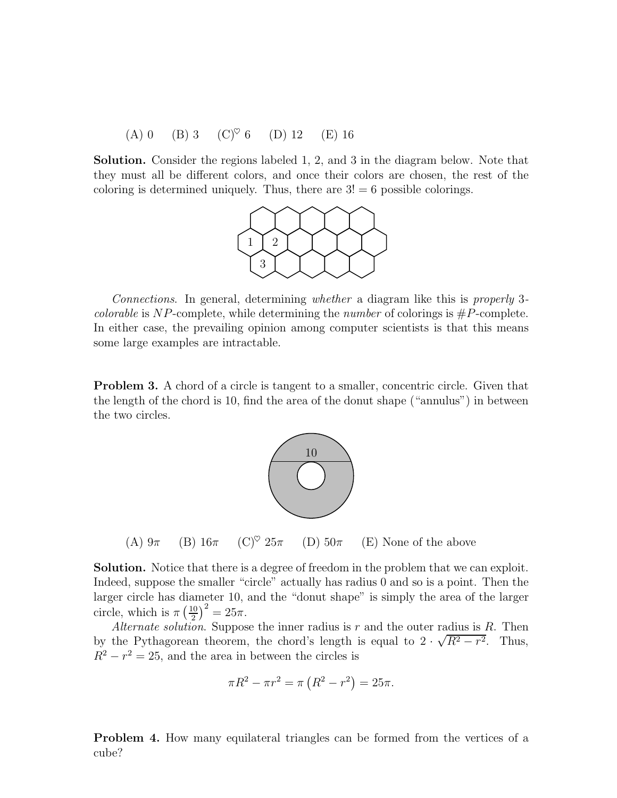(A) 0 (B) 3 (C)♥ 6 (D) 12 (E) 16

Solution. Consider the regions labeled 1, 2, and 3 in the diagram below. Note that they must all be different colors, and once their colors are chosen, the rest of the coloring is determined uniquely. Thus, there are  $3! = 6$  possible colorings.



Connections. In general, determining whether a diagram like this is properly 3 *colorable* is NP-complete, while determining the *number* of colorings is  $#P$ -complete. In either case, the prevailing opinion among computer scientists is that this means some large examples are intractable.

**Problem 3.** A chord of a circle is tangent to a smaller, concentric circle. Given that the length of the chord is 10, find the area of the donut shape ("annulus") in between the two circles.



(A)  $9\pi$  (B)  $16\pi$  (C)<sup> $\heartsuit$ </sup> 25 $\pi$  (D) 50 $\pi$  (E) None of the above

Solution. Notice that there is a degree of freedom in the problem that we can exploit. Indeed, suppose the smaller "circle" actually has radius 0 and so is a point. Then the larger circle has diameter 10, and the "donut shape" is simply the area of the larger circle, which is  $\pi\left(\frac{10}{2}\right)$  $\frac{10}{2}$  $\Big)^2 = 25\pi$ .

Alternate solution. Suppose the inner radius is r and the outer radius is R. Then by the Pythagorean theorem, the chord's length is equal to  $2 \cdot \sqrt{R^2 - r^2}$ . Thus,  $R^2 - r^2 = 25$ , and the area in between the circles is

$$
\pi R^2 - \pi r^2 = \pi (R^2 - r^2) = 25\pi.
$$

Problem 4. How many equilateral triangles can be formed from the vertices of a cube?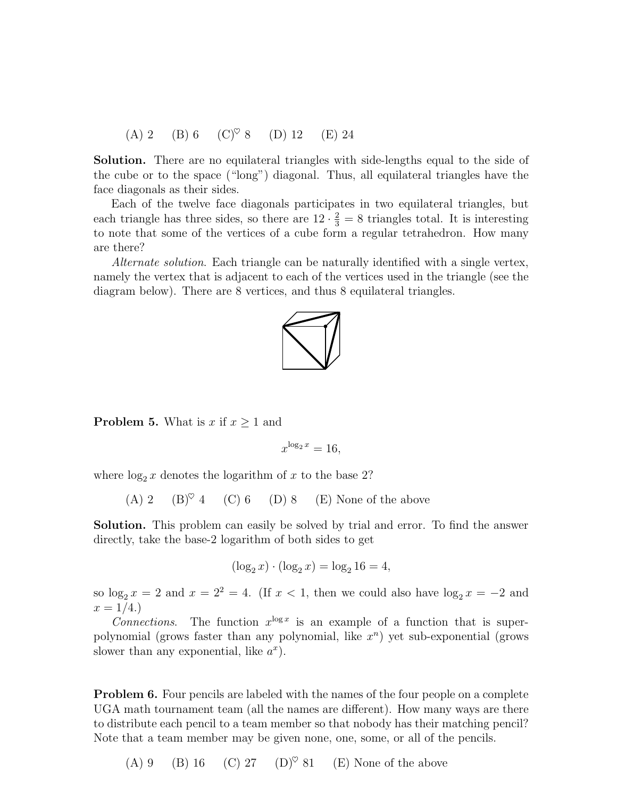(A) 2 (B) 6 (C)<sup> $\heartsuit$ </sup> 8 (D) 12 (E) 24

Solution. There are no equilateral triangles with side-lengths equal to the side of the cube or to the space ("long") diagonal. Thus, all equilateral triangles have the face diagonals as their sides.

Each of the twelve face diagonals participates in two equilateral triangles, but each triangle has three sides, so there are  $12 \cdot \frac{2}{3} = 8$  triangles total. It is interesting to note that some of the vertices of a cube form a regular tetrahedron. How many are there?

Alternate solution. Each triangle can be naturally identified with a single vertex, namely the vertex that is adjacent to each of the vertices used in the triangle (see the diagram below). There are 8 vertices, and thus 8 equilateral triangles.



**Problem 5.** What is x if  $x \geq 1$  and

$$
x^{\log_2 x} = 16,
$$

where  $\log_2 x$  denotes the logarithm of x to the base 2?

(A) 2 (B)<sup> $\heartsuit$ </sup> 4 (C) 6 (D) 8 (E) None of the above

Solution. This problem can easily be solved by trial and error. To find the answer directly, take the base-2 logarithm of both sides to get

$$
(\log_2 x) \cdot (\log_2 x) = \log_2 16 = 4,
$$

so  $\log_2 x = 2$  and  $x = 2^2 = 4$ . (If  $x < 1$ , then we could also have  $\log_2 x = -2$  and  $x = 1/4.$ 

Connections. The function  $x^{\log x}$  is an example of a function that is superpolynomial (grows faster than any polynomial, like  $x^n$ ) yet sub-exponential (grows slower than any exponential, like  $a^x$ ).

Problem 6. Four pencils are labeled with the names of the four people on a complete UGA math tournament team (all the names are different). How many ways are there to distribute each pencil to a team member so that nobody has their matching pencil? Note that a team member may be given none, one, some, or all of the pencils.

(A) 9 (B) 16 (C) 27 (D)<sup> $\heartsuit$ </sup> 81 (E) None of the above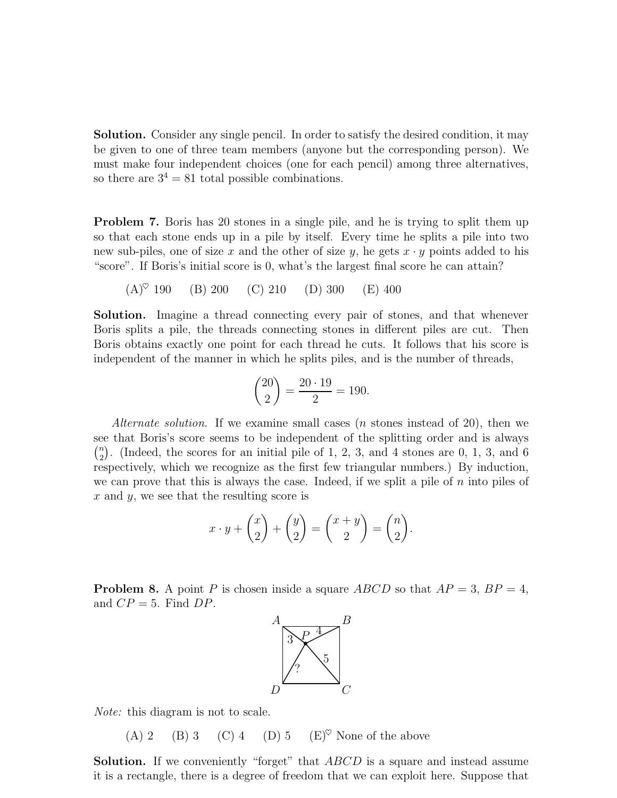Solution. Consider any single pencil. In order to satisfy the desired condition, it may be given to one of three team members (anyone but the corresponding person). We must make four independent choices (one for each pencil) among three alternatives, so there are  $3^4 = 81$  total possible combinations.

Problem 7. Boris has 20 stones in a single pile, and he is trying to split them up so that each stone ends up in a pile by itself. Every time he splits a pile into two new sub-piles, one of size x and the other of size y, he gets  $x \cdot y$  points added to his "score". If Boris's initial score is 0, what's the largest final score he can attain?

$$
(A)^{\heartsuit}
$$
 190 (B) 200 (C) 210 (D) 300 (E) 400

Solution. Imagine a thread connecting every pair of stones, and that whenever Boris splits a pile, the threads connecting stones in different piles are cut. Then Boris obtains exactly one point for each thread he cuts. It follows that his score is independent of the manner in which he splits piles, and is the number of threads,

$$
\binom{20}{2} = \frac{20 \cdot 19}{2} = 190.
$$

Alternate solution. If we examine small cases (*n* stones instead of 20), then we see that Boris's score seems to be independent of the splitting order and is always  $\binom{n}{2}$  $n<sub>2</sub>$ ). (Indeed, the scores for an initial pile of 1, 2, 3, and 4 stones are 0, 1, 3, and 6 respectively, which we recognize as the first few triangular numbers.) By induction, we can prove that this is always the case. Indeed, if we split a pile of  $n$  into piles of  $x$  and  $y$ , we see that the resulting score is

$$
x \cdot y + \binom{x}{2} + \binom{y}{2} = \binom{x+y}{2} = \binom{n}{2}.
$$

**Problem 8.** A point P is chosen inside a square ABCD so that  $AP = 3$ ,  $BP = 4$ , and  $CP = 5$ . Find  $DP$ .



Note: this diagram is not to scale.

(A) 2 (B) 3 (C) 4 (D) 5 (E)<sup> $\heartsuit$ </sup> None of the above

**Solution.** If we conveniently "forget" that ABCD is a square and instead assume it is a rectangle, there is a degree of freedom that we can exploit here. Suppose that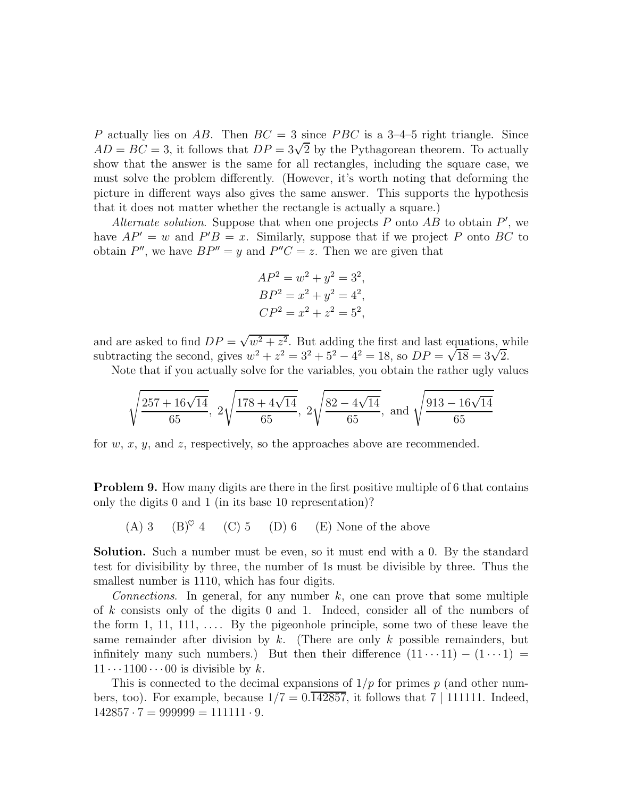P actually lies on AB. Then  $BC = 3$  since PBC is a 3-4-5 right triangle. Since  $AD = BC = 3$ , it follows that  $DP = 3\sqrt{2}$  by the Pythagorean theorem. To actually show that the answer is the same for all rectangles, including the square case, we must solve the problem differently. (However, it's worth noting that deforming the picture in different ways also gives the same answer. This supports the hypothesis that it does not matter whether the rectangle is actually a square.)

Alternate solution. Suppose that when one projects  $P$  onto  $AB$  to obtain  $P'$ , we have  $AP' = w$  and  $P'B = x$ . Similarly, suppose that if we project P onto BC to obtain  $P''$ , we have  $BP'' = y$  and  $P''C = z$ . Then we are given that

$$
AP2 = w2 + y2 = 32,BP2 = x2 + y2 = 42,CP2 = x2 + z2 = 52,
$$

and are asked to find  $DP = \sqrt{w^2 + z^2}$ . But adding the first and last equations, while subtracting the second, gives  $w^2 + z^2 = 3^2 + 5^2 - 4^2 = 18$ , so  $DP = \sqrt{18} = 3\sqrt{2}$ .

Note that if you actually solve for the variables, you obtain the rather ugly values

$$
\sqrt{\frac{257 + 16\sqrt{14}}{65}}
$$
,  $2\sqrt{\frac{178 + 4\sqrt{14}}{65}}$ ,  $2\sqrt{\frac{82 - 4\sqrt{14}}{65}}$ , and  $\sqrt{\frac{913 - 16\sqrt{14}}{65}}$ 

for w, x, y, and z, respectively, so the approaches above are recommended.

Problem 9. How many digits are there in the first positive multiple of 6 that contains only the digits 0 and 1 (in its base 10 representation)?

(A) 3 (B) $\degree$  4 (C) 5 (D) 6 (E) None of the above

Solution. Such a number must be even, so it must end with a 0. By the standard test for divisibility by three, the number of 1s must be divisible by three. Thus the smallest number is 1110, which has four digits.

Connections. In general, for any number  $k$ , one can prove that some multiple of k consists only of the digits 0 and 1. Indeed, consider all of the numbers of the form 1, 11, 111,  $\dots$  By the pigeonhole principle, some two of these leave the same remainder after division by k. (There are only k possible remainders, but infinitely many such numbers.) But then their difference  $(11 \cdots 11) - (1 \cdots 1) =$  $11 \cdots 1100 \cdots 00$  is divisible by k.

This is connected to the decimal expansions of  $1/p$  for primes p (and other numbers, too). For example, because  $1/7 = 0.\overline{142857}$ , it follows that  $7 \mid 111111$ . Indeed,  $142857 \cdot 7 = 999999 = 111111 \cdot 9.$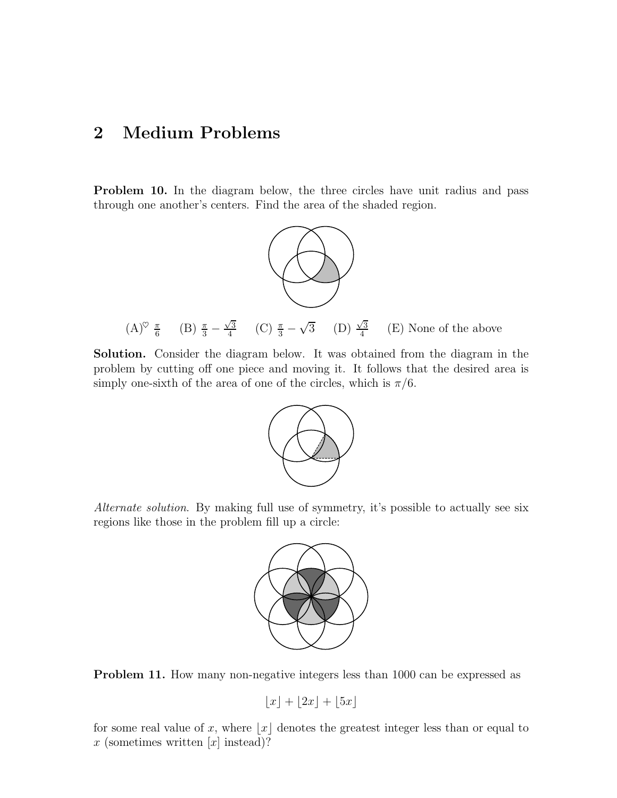# 2 Medium Problems

Problem 10. In the diagram below, the three circles have unit radius and pass through one another's centers. Find the area of the shaded region.



Solution. Consider the diagram below. It was obtained from the diagram in the problem by cutting off one piece and moving it. It follows that the desired area is simply one-sixth of the area of one of the circles, which is  $\pi/6$ .



Alternate solution. By making full use of symmetry, it's possible to actually see six regions like those in the problem fill up a circle:



Problem 11. How many non-negative integers less than 1000 can be expressed as

$$
\lfloor x \rfloor + \lfloor 2x \rfloor + \lfloor 5x \rfloor
$$

for some real value of x, where  $|x|$  denotes the greatest integer less than or equal to x (sometimes written  $[x]$  instead)?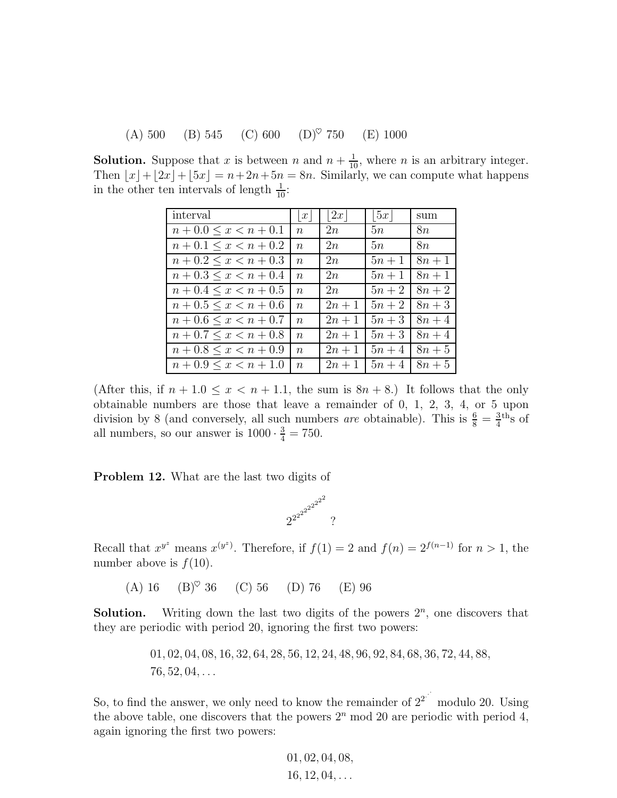(A) 500 (B) 545 (C) 600 (D)♥ 750 (E) 1000

**Solution.** Suppose that x is between n and  $n + \frac{1}{10}$ , where n is an arbitrary integer. Then  $\lfloor x \rfloor + \lfloor 2x \rfloor + \lfloor 5x \rfloor = n+2n+5n = 8n$ . Similarly, we can compute what happens in the other ten intervals of length  $\frac{1}{10}$ :

| interval                  | $\boldsymbol{x}$ | 2x     | 5x     | sum    |
|---------------------------|------------------|--------|--------|--------|
| $n+0.0 \leq x \leq n+0.1$ | $n_{\rm}$        | 2n     | 5n     | 8n     |
| $n+0.1 \leq x < n+0.2$    | $n_{\rm }$       | 2n     | 5n     | 8n     |
| $n+0.2 \leq x < n+0.3$    | $n_{\rm}$        | 2n     | $5n+1$ | $8n+1$ |
| $n+0.3 \leq x < n+0.4$    | $n_{\rm }$       | 2n     | $5n+1$ | $8n+1$ |
| $n+0.4 \leq x < n+0.5$    | $\boldsymbol{n}$ | 2n     | $5n+2$ | $8n+2$ |
| $n+0.5 \leq x \leq n+0.6$ | $n_{\rm}$        | $2n+1$ | $5n+2$ | $8n+3$ |
| $n+0.6 \leq x < n+0.7$    | $\boldsymbol{n}$ | $2n+1$ | $5n+3$ | $8n+4$ |
| $n+0.7 \leq x \leq n+0.8$ | $n_{\rm}$        | $2n+1$ | $5n+3$ | $8n+4$ |
| $n+0.8 \leq x < n+0.9$    | $\, n$           | $2n+1$ | $5n+4$ | $8n+5$ |
| $n+0.9 \leq x \leq n+1.0$ | $n_{\rm}$        | $2n+1$ | $5n+4$ | $8n+5$ |

(After this, if  $n + 1.0 \le x < n + 1.1$ , the sum is  $8n + 8$ .) It follows that the only obtainable numbers are those that leave a remainder of 0, 1, 2, 3, 4, or 5 upon division by 8 (and conversely, all such numbers *are* obtainable). This is  $\frac{6}{8} = \frac{3}{4}$  $rac{3}{4}$ <sup>th</sup>s of all numbers, so our answer is  $1000 \cdot \frac{3}{4} = 750$ .

Problem 12. What are the last two digits of



Recall that  $x^{y^z}$  means  $x^{(y^z)}$ . Therefore, if  $f(1) = 2$  and  $f(n) = 2^{f(n-1)}$  for  $n > 1$ , the number above is  $f(10)$ .

(A) 16  $(B)^\heartsuit$  36 (C) 56 (D) 76 (E) 96

**Solution.** Writing down the last two digits of the powers  $2^n$ , one discovers that they are periodic with period 20, ignoring the first two powers:

> 01, 02, 04, 08, 16, 32, 64, 28, 56, 12, 24, 48, 96, 92, 84, 68, 36, 72, 44, 88,  $76, 52, 04, \ldots$

So, to find the answer, we only need to know the remainder of  $2^{2^{j}}$ modulo 20. Using the above table, one discovers that the powers  $2<sup>n</sup>$  mod 20 are periodic with period 4, again ignoring the first two powers:

$$
01, 02, 04, 08, 16, 12, 04, ...
$$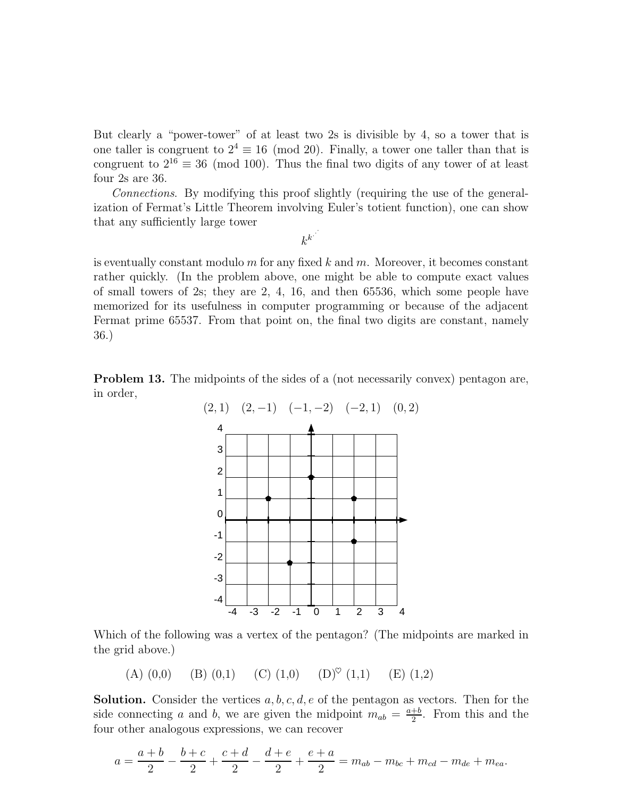But clearly a "power-tower" of at least two 2s is divisible by 4, so a tower that is one taller is congruent to  $2^4 \equiv 16 \pmod{20}$ . Finally, a tower one taller than that is congruent to  $2^{16} \equiv 36 \pmod{100}$ . Thus the final two digits of any tower of at least four 2s are 36.

Connections. By modifying this proof slightly (requiring the use of the generalization of Fermat's Little Theorem involving Euler's totient function), one can show that any sufficiently large tower

is eventually constant modulo  $m$  for any fixed  $k$  and  $m$ . Moreover, it becomes constant rather quickly. (In the problem above, one might be able to compute exact values of small towers of 2s; they are 2, 4, 16, and then 65536, which some people have memorized for its usefulness in computer programming or because of the adjacent Fermat prime 65537. From that point on, the final two digits are constant, namely 36.)

Problem 13. The midpoints of the sides of a (not necessarily convex) pentagon are, in order,



Which of the following was a vertex of the pentagon? (The midpoints are marked in the grid above.)

(A) (0,0) (B) (0,1) (C) (1,0) (D)<sup> $\heartsuit$ </sup> (1,1) (E) (1,2)

**Solution.** Consider the vertices  $a, b, c, d, e$  of the pentagon as vectors. Then for the side connecting a and b, we are given the midpoint  $m_{ab} = \frac{a+b}{2}$  $\frac{+b}{2}$ . From this and the four other analogous expressions, we can recover

$$
a = \frac{a+b}{2} - \frac{b+c}{2} + \frac{c+d}{2} - \frac{d+e}{2} + \frac{e+a}{2} = m_{ab} - m_{bc} + m_{cd} - m_{de} + m_{ea}.
$$

 $k^{k}$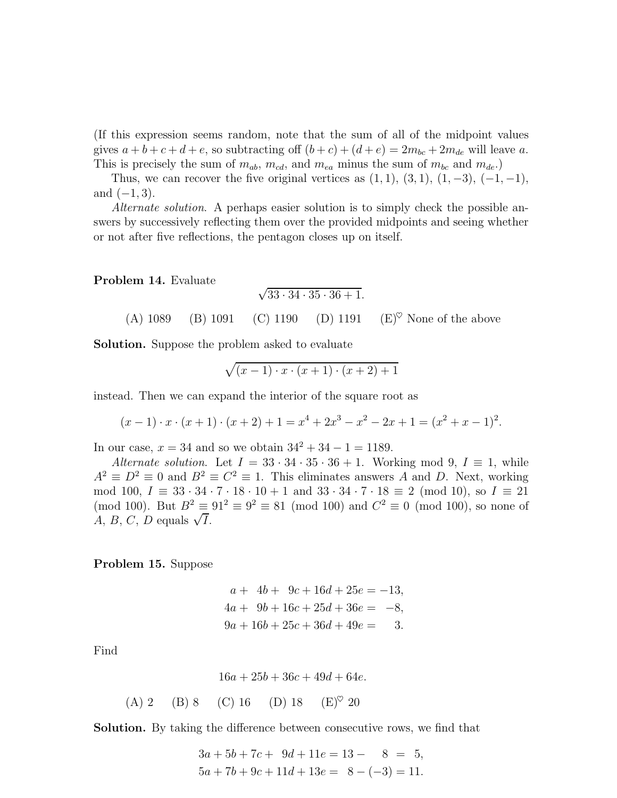(If this expression seems random, note that the sum of all of the midpoint values gives  $a + b + c + d + e$ , so subtracting off  $(b + c) + (d + e) = 2m_{bc} + 2m_{de}$  will leave a. This is precisely the sum of  $m_{ab}$ ,  $m_{cd}$ , and  $m_{ea}$  minus the sum of  $m_{bc}$  and  $m_{de}$ .)

Thus, we can recover the five original vertices as  $(1, 1), (3, 1), (1, -3), (-1, -1),$ and  $(-1, 3)$ .

Alternate solution. A perhaps easier solution is to simply check the possible answers by successively reflecting them over the provided midpoints and seeing whether or not after five reflections, the pentagon closes up on itself.

Problem 14. Evaluate

$$
\sqrt{33 \cdot 34 \cdot 35 \cdot 36 + 1}.
$$

(A) 1089 (B) 1091 (C) 1190 (D) 1191 (E)<sup> $\heartsuit$ </sup> None of the above

Solution. Suppose the problem asked to evaluate

$$
\sqrt{(x-1)\cdot x\cdot (x+1)\cdot (x+2)+1}
$$

instead. Then we can expand the interior of the square root as

$$
(x-1) \cdot x \cdot (x+1) \cdot (x+2) + 1 = x^4 + 2x^3 - x^2 - 2x + 1 = (x^2 + x - 1)^2.
$$

In our case,  $x = 34$  and so we obtain  $34^2 + 34 - 1 = 1189$ .

Alternate solution. Let  $I = 33 \cdot 34 \cdot 35 \cdot 36 + 1$ . Working mod 9,  $I \equiv 1$ , while  $A^2 \equiv D^2 \equiv 0$  and  $B^2 \equiv C^2 \equiv 1$ . This eliminates answers A and D. Next, working mod 100,  $I = 33 \cdot 34 \cdot 7 \cdot 18 \cdot 10 + 1$  and  $33 \cdot 34 \cdot 7 \cdot 18 \equiv 2 \pmod{10}$ , so  $I = 21$ (mod 100). But  $B^2 \equiv 91^2 \equiv 9^2 \equiv 81 \pmod{100}$  and  $C^2 \equiv 0 \pmod{100}$ , so none of  $A, B, C, D$  equals  $\sqrt{I}$ .

Problem 15. Suppose

$$
a + 4b + 9c + 16d + 25e = -13,
$$
  
\n
$$
4a + 9b + 16c + 25d + 36e = -8,
$$
  
\n
$$
9a + 16b + 25c + 36d + 49e = 3.
$$

Find

$$
16a + 25b + 36c + 49d + 64e.
$$

(A) 2 (B) 8 (C) 16 (D) 18  $(E)^\heartsuit$  20

Solution. By taking the difference between consecutive rows, we find that

$$
3a + 5b + 7c + 9d + 11e = 13 - 8 = 5,
$$
  

$$
5a + 7b + 9c + 11d + 13e = 8 - (-3) = 11.
$$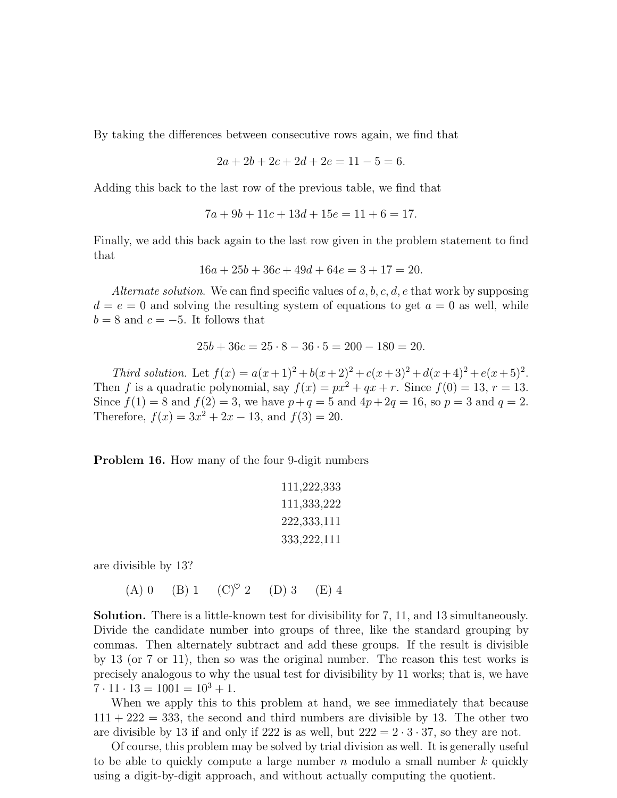By taking the differences between consecutive rows again, we find that

$$
2a + 2b + 2c + 2d + 2e = 11 - 5 = 6.
$$

Adding this back to the last row of the previous table, we find that

$$
7a + 9b + 11c + 13d + 15e = 11 + 6 = 17.
$$

Finally, we add this back again to the last row given in the problem statement to find that

 $16a + 25b + 36c + 49d + 64e = 3 + 17 = 20.$ 

Alternate solution. We can find specific values of  $a, b, c, d, e$  that work by supposing  $d = e = 0$  and solving the resulting system of equations to get  $a = 0$  as well, while  $b = 8$  and  $c = -5$ . It follows that

$$
25b + 36c = 25 \cdot 8 - 36 \cdot 5 = 200 - 180 = 20.
$$

Third solution. Let  $f(x) = a(x+1)^2 + b(x+2)^2 + c(x+3)^2 + d(x+4)^2 + e(x+5)^2$ . Then f is a quadratic polynomial, say  $f(x) = px^2 + qx + r$ . Since  $f(0) = 13$ ,  $r = 13$ . Since  $f(1) = 8$  and  $f(2) = 3$ , we have  $p+q = 5$  and  $4p+2q = 16$ , so  $p = 3$  and  $q = 2$ . Therefore,  $f(x) = 3x^2 + 2x - 13$ , and  $f(3) = 20$ .

Problem 16. How many of the four 9-digit numbers

```
111,222,333
111,333,222
222,333,111
333,222,111
```
are divisible by 13?

(A) 0 (B) 1 (C)<sup> $\heartsuit$ </sup> 2 (D) 3 (E) 4

Solution. There is a little-known test for divisibility for 7, 11, and 13 simultaneously. Divide the candidate number into groups of three, like the standard grouping by commas. Then alternately subtract and add these groups. If the result is divisible by 13 (or 7 or 11), then so was the original number. The reason this test works is precisely analogous to why the usual test for divisibility by 11 works; that is, we have  $7 \cdot 11 \cdot 13 = 1001 = 10^3 + 1.$ 

When we apply this to this problem at hand, we see immediately that because  $111 + 222 = 333$ , the second and third numbers are divisible by 13. The other two are divisible by 13 if and only if 222 is as well, but  $222 = 2 \cdot 3 \cdot 37$ , so they are not.

Of course, this problem may be solved by trial division as well. It is generally useful to be able to quickly compute a large number  $n$  modulo a small number  $k$  quickly using a digit-by-digit approach, and without actually computing the quotient.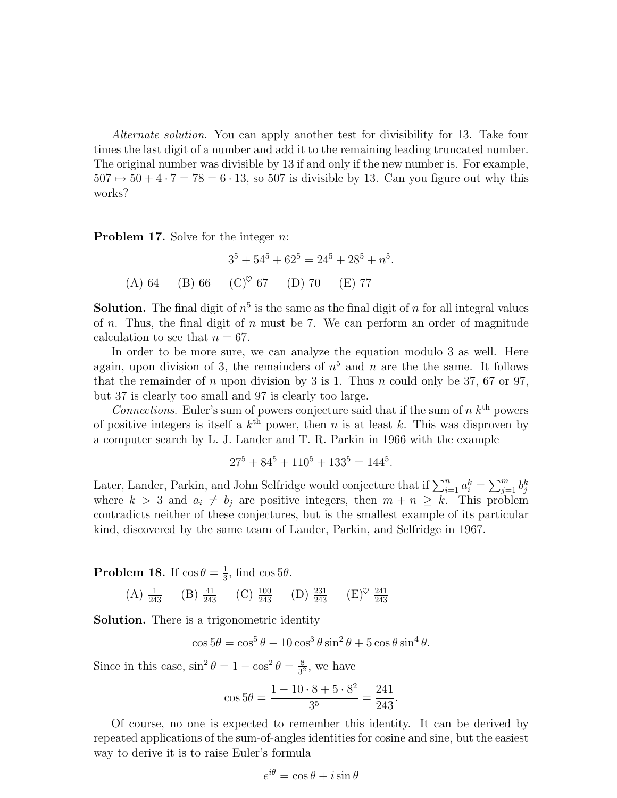Alternate solution. You can apply another test for divisibility for 13. Take four times the last digit of a number and add it to the remaining leading truncated number. The original number was divisible by 13 if and only if the new number is. For example,  $507 \mapsto 50 + 4 \cdot 7 = 78 = 6 \cdot 13$ , so 507 is divisible by 13. Can you figure out why this works?

**Problem 17.** Solve for the integer *n*:

$$
35 + 545 + 625 = 245 + 285 + n5.
$$
  
(A) 64 (B) 66 (C)<sup>°</sup> 67 (D) 70 (E) 77

**Solution.** The final digit of  $n<sup>5</sup>$  is the same as the final digit of n for all integral values of *n*. Thus, the final digit of *n* must be 7. We can perform an order of magnitude calculation to see that  $n = 67$ .

In order to be more sure, we can analyze the equation modulo 3 as well. Here again, upon division of 3, the remainders of  $n<sup>5</sup>$  and n are the the same. It follows that the remainder of n upon division by 3 is 1. Thus n could only be 37, 67 or 97, but 37 is clearly too small and 97 is clearly too large.

Connections. Euler's sum of powers conjecture said that if the sum of  $n k<sup>th</sup>$  powers of positive integers is itself a  $k^{\text{th}}$  power, then n is at least k. This was disproven by a computer search by L. J. Lander and T. R. Parkin in 1966 with the example

$$
27^5 + 84^5 + 110^5 + 133^5 = 144^5.
$$

Later, Lander, Parkin, and John Selfridge would conjecture that if  $\sum_{i=1}^{n} a_i^k = \sum_{j=1}^{m} b_j^k$ where  $k > 3$  and  $a_i \neq b_j$  are positive integers, then  $m + n \geq k$ . This problem contradicts neither of these conjectures, but is the smallest example of its particular kind, discovered by the same team of Lander, Parkin, and Selfridge in 1967.

**Problem 18.** If  $\cos \theta = \frac{1}{3}$  $\frac{1}{3}$ , find cos 5 $\theta$ .

(A)  $\frac{1}{243}$  (B)  $\frac{41}{243}$  (C)  $\frac{100}{243}$  (D)  $\frac{231}{243}$  (E)<sup> $\heartsuit$ </sup>  $\frac{241}{243}$ 

Solution. There is a trigonometric identity

$$
\cos 5\theta = \cos^5 \theta - 10 \cos^3 \theta \sin^2 \theta + 5 \cos \theta \sin^4 \theta.
$$

Since in this case,  $\sin^2 \theta = 1 - \cos^2 \theta = \frac{8}{3^2}$  $\frac{8}{3^2}$ , we have

$$
\cos 5\theta = \frac{1 - 10 \cdot 8 + 5 \cdot 8^2}{3^5} = \frac{241}{243}.
$$

Of course, no one is expected to remember this identity. It can be derived by repeated applications of the sum-of-angles identities for cosine and sine, but the easiest way to derive it is to raise Euler's formula

$$
e^{i\theta} = \cos\theta + i\sin\theta
$$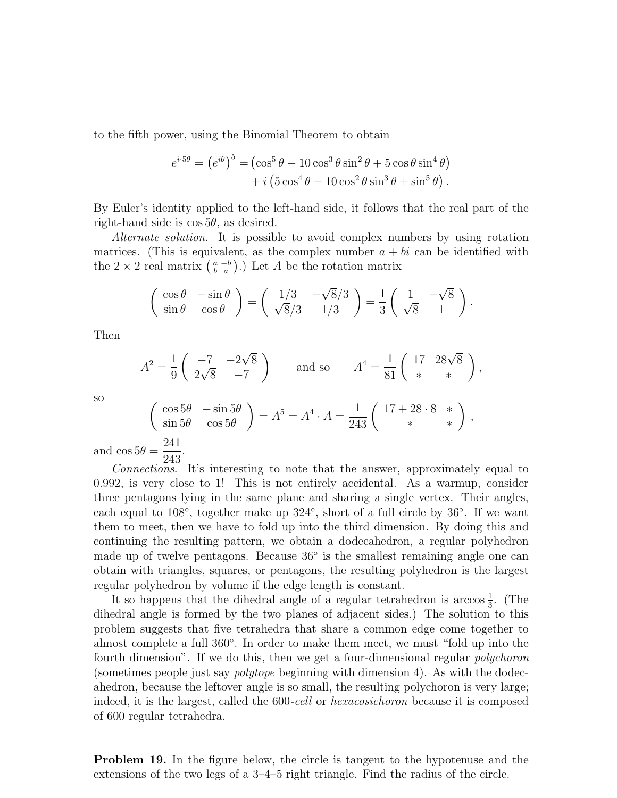to the fifth power, using the Binomial Theorem to obtain

$$
e^{i \cdot 5\theta} = (e^{i\theta})^5 = (\cos^5 \theta - 10 \cos^3 \theta \sin^2 \theta + 5 \cos \theta \sin^4 \theta) + i (5 \cos^4 \theta - 10 \cos^2 \theta \sin^3 \theta + \sin^5 \theta).
$$

By Euler's identity applied to the left-hand side, it follows that the real part of the right-hand side is  $\cos 5\theta$ , as desired.

Alternate solution. It is possible to avoid complex numbers by using rotation matrices. (This is equivalent, as the complex number  $a + bi$  can be identified with the  $2 \times 2$  real matrix  $\left(\begin{smallmatrix} a & -b \\ b & a \end{smallmatrix}\right)$ .) Let A be the rotation matrix

$$
\begin{pmatrix}\n\cos \theta & -\sin \theta \\
\sin \theta & \cos \theta\n\end{pmatrix} = \begin{pmatrix}\n1/3 & -\sqrt{8}/3 \\
\sqrt{8}/3 & 1/3\n\end{pmatrix} = \frac{1}{3} \begin{pmatrix}\n1 & -\sqrt{8} \\
\sqrt{8} & 1\n\end{pmatrix}.
$$

Then

$$
A^{2} = \frac{1}{9} \begin{pmatrix} -7 & -2\sqrt{8} \\ 2\sqrt{8} & -7 \end{pmatrix} \text{ and so } A^{4} = \frac{1}{81} \begin{pmatrix} 17 & 28\sqrt{8} \\ * & * \end{pmatrix}
$$

,

so

$$
\begin{pmatrix}\n\cos 5\theta & -\sin 5\theta \\
\sin 5\theta & \cos 5\theta\n\end{pmatrix} = A^5 = A^4 \cdot A = \frac{1}{243} \begin{pmatrix} 17 + 28 \cdot 8 & * \\
* & * \end{pmatrix},
$$
\n241

and  $\cos 5\theta =$ 243 .

Connections. It's interesting to note that the answer, approximately equal to 0.992, is very close to 1! This is not entirely accidental. As a warmup, consider three pentagons lying in the same plane and sharing a single vertex. Their angles, each equal to 108<sup>°</sup>, together make up 324<sup>°</sup>, short of a full circle by 36<sup>°</sup>. If we want them to meet, then we have to fold up into the third dimension. By doing this and continuing the resulting pattern, we obtain a dodecahedron, a regular polyhedron made up of twelve pentagons. Because 36◦ is the smallest remaining angle one can obtain with triangles, squares, or pentagons, the resulting polyhedron is the largest regular polyhedron by volume if the edge length is constant.

It so happens that the dihedral angle of a regular tetrahedron is  $\arccos \frac{1}{3}$ . (The dihedral angle is formed by the two planes of adjacent sides.) The solution to this problem suggests that five tetrahedra that share a common edge come together to almost complete a full 360◦ . In order to make them meet, we must "fold up into the fourth dimension". If we do this, then we get a four-dimensional regular *polychoron* (sometimes people just say polytope beginning with dimension 4). As with the dodecahedron, because the leftover angle is so small, the resulting polychoron is very large; indeed, it is the largest, called the 600-cell or *hexacosichoron* because it is composed of 600 regular tetrahedra.

Problem 19. In the figure below, the circle is tangent to the hypotenuse and the extensions of the two legs of a 3–4–5 right triangle. Find the radius of the circle.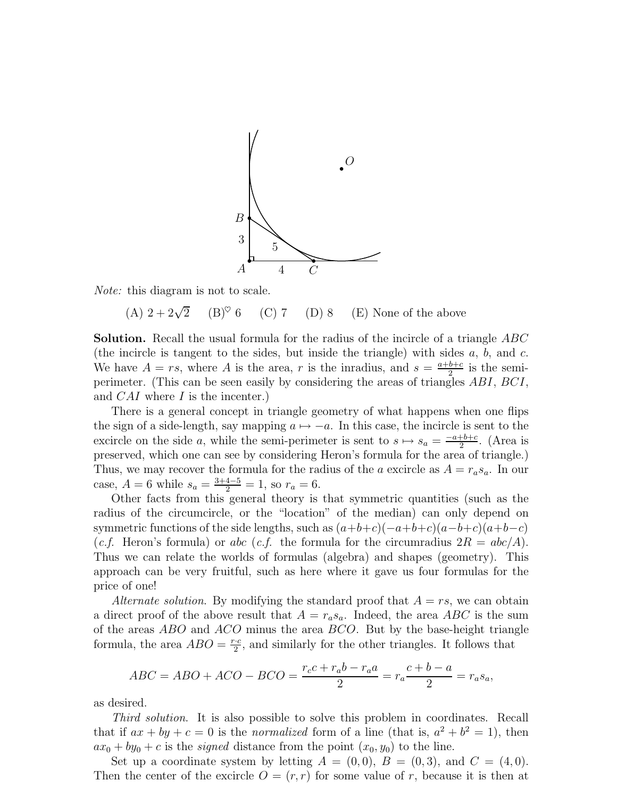

Note: this diagram is not to scale.

(A)  $2 + 2\sqrt{2}$  $(B)^\heartsuit$  6 (C) 7 (D) 8 (E) None of the above

**Solution.** Recall the usual formula for the radius of the incircle of a triangle ABC (the incircle is tangent to the sides, but inside the triangle) with sides  $a, b,$  and  $c$ . We have  $A = rs$ , where A is the area, r is the inradius, and  $s = \frac{a+b+c}{2}$  $rac{b+c}{2}$  is the semiperimeter. (This can be seen easily by considering the areas of triangles ABI, BCI, and CAI where I is the incenter.)

There is a general concept in triangle geometry of what happens when one flips the sign of a side-length, say mapping  $a \mapsto -a$ . In this case, the incircle is sent to the excircle on the side a, while the semi-perimeter is sent to  $s \mapsto s_a = \frac{-a+b+c}{2}$ . (Area is preserved, which one can see by considering Heron's formula for the area of triangle.) Thus, we may recover the formula for the radius of the a excircle as  $A = r_a s_a$ . In our case,  $A = 6$  while  $s_a = \frac{3+4-5}{2} = 1$ , so  $r_a = 6$ .

Other facts from this general theory is that symmetric quantities (such as the radius of the circumcircle, or the "location" of the median) can only depend on symmetric functions of the side lengths, such as  $(a+b+c)(-a+b+c)(a-b+c)(a+b-c)$ (*c.f.* Heron's formula) or abc (*c.f.* the formula for the circumradius  $2R = abc/A$ ). Thus we can relate the worlds of formulas (algebra) and shapes (geometry). This approach can be very fruitful, such as here where it gave us four formulas for the price of one!

Alternate solution. By modifying the standard proof that  $A = rs$ , we can obtain a direct proof of the above result that  $A = r_a s_a$ . Indeed, the area ABC is the sum of the areas ABO and ACO minus the area BCO. But by the base-height triangle formula, the area  $ABO = \frac{r \cdot c}{2}$ , and similarly for the other triangles. It follows that

$$
ABC = ABO + ACO - BCO = \frac{r_c c + r_a b - r_a a}{2} = r_a \frac{c + b - a}{2} = r_a s_a,
$$

as desired.

Third solution. It is also possible to solve this problem in coordinates. Recall that if  $ax + by + c = 0$  is the *normalized* form of a line (that is,  $a^2 + b^2 = 1$ ), then  $ax_0 + by_0 + c$  is the *signed* distance from the point  $(x_0, y_0)$  to the line.

Set up a coordinate system by letting  $A = (0,0), B = (0,3),$  and  $C = (4,0)$ . Then the center of the excircle  $O = (r, r)$  for some value of r, because it is then at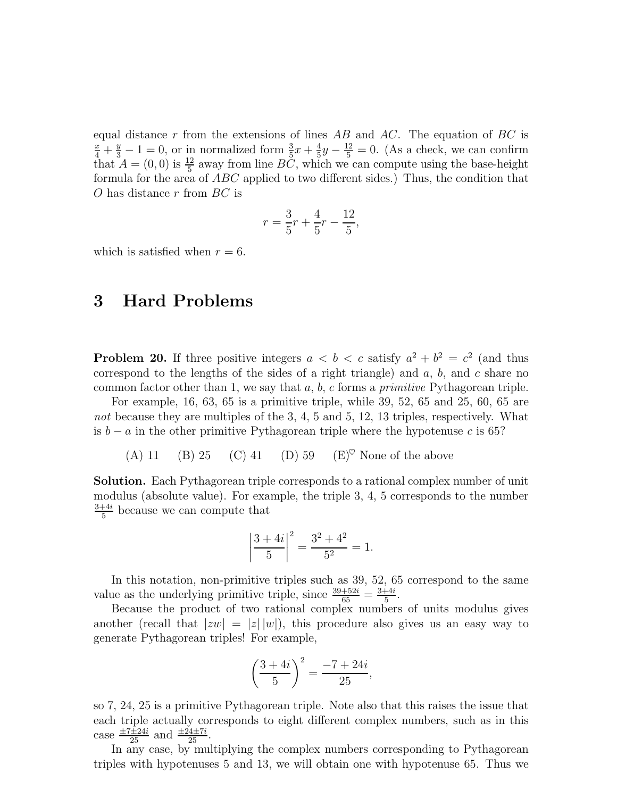equal distance r from the extensions of lines  $AB$  and  $AC$ . The equation of  $BC$  is  $\frac{x}{4} + \frac{y}{3} - 1 = 0$ , or in normalized form  $\frac{3}{5}x + \frac{4}{5}$  $\frac{4}{5}y - \frac{12}{5} = 0$ . (As a check, we can confirm that  $A = (0,0)$  is  $\frac{12}{5}$  away from line  $B\check{C}$ , which we can compute using the base-height formula for the area of ABC applied to two different sides.) Thus, the condition that O has distance  $r$  from  $BC$  is

$$
r = \frac{3}{5}r + \frac{4}{5}r - \frac{12}{5},
$$

which is satisfied when  $r = 6$ .

## 3 Hard Problems

**Problem 20.** If three positive integers  $a < b < c$  satisfy  $a^2 + b^2 = c^2$  (and thus correspond to the lengths of the sides of a right triangle) and  $a, b$ , and  $c$  share no common factor other than 1, we say that  $a, b, c$  forms a *primitive* Pythagorean triple.

For example, 16, 63, 65 is a primitive triple, while 39, 52, 65 and 25, 60, 65 are not because they are multiples of the 3, 4, 5 and 5, 12, 13 triples, respectively. What is  $b - a$  in the other primitive Pythagorean triple where the hypotenuse c is 65?

(A) 11 (B) 25 (C) 41 (D) 59 (E)<sup> $\heartsuit$ </sup> None of the above

Solution. Each Pythagorean triple corresponds to a rational complex number of unit modulus (absolute value). For example, the triple 3, 4, 5 corresponds to the number 3+4i  $\frac{+4i}{5}$  because we can compute that

$$
\left|\frac{3+4i}{5}\right|^2 = \frac{3^2+4^2}{5^2} = 1.
$$

In this notation, non-primitive triples such as 39, 52, 65 correspond to the same value as the underlying primitive triple, since  $\frac{39+52i}{65} = \frac{3+4i}{5}$  $\frac{+4i}{5}$ .

Because the product of two rational complex numbers of units modulus gives another (recall that  $|zw| = |z| |w|$ ), this procedure also gives us an easy way to generate Pythagorean triples! For example,

$$
\left(\frac{3+4i}{5}\right)^2 = \frac{-7+24i}{25},
$$

so 7, 24, 25 is a primitive Pythagorean triple. Note also that this raises the issue that each triple actually corresponds to eight different complex numbers, such as in this case  $\frac{\pm 7 \pm 24i}{25}$  and  $\frac{\pm 24 \pm 7i}{25}$ .

In any case, by multiplying the complex numbers corresponding to Pythagorean triples with hypotenuses 5 and 13, we will obtain one with hypotenuse 65. Thus we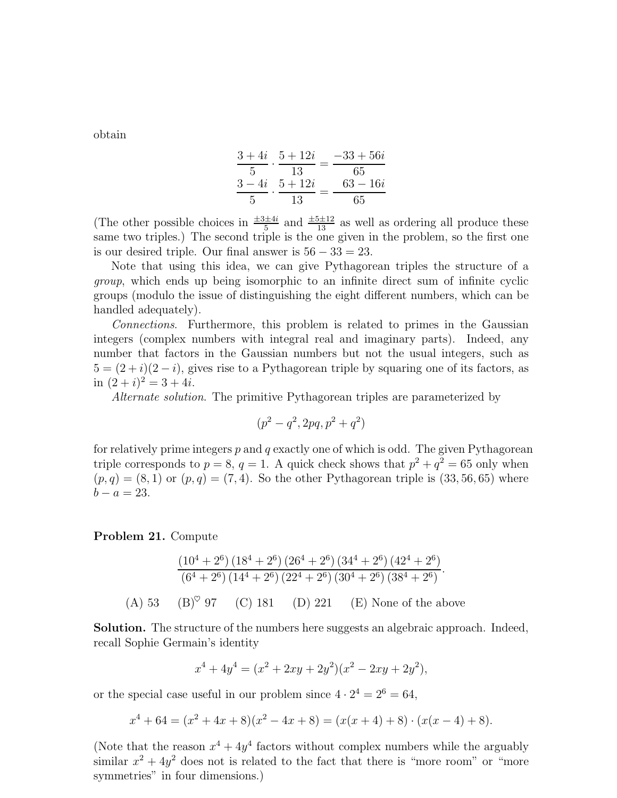obtain

$$
\frac{3+4i}{5} \cdot \frac{5+12i}{13} = \frac{-33+56i}{65}
$$

$$
\frac{3-4i}{5} \cdot \frac{5+12i}{13} = \frac{63-16i}{65}
$$

(The other possible choices in  $\frac{\pm 3 \pm 4i}{5}$  and  $\frac{\pm 5 \pm 12}{13}$  as well as ordering all produce these same two triples.) The second triple is the one given in the problem, so the first one is our desired triple. Our final answer is  $56 - 33 = 23$ .

Note that using this idea, we can give Pythagorean triples the structure of a group, which ends up being isomorphic to an infinite direct sum of infinite cyclic groups (modulo the issue of distinguishing the eight different numbers, which can be handled adequately).

Connections. Furthermore, this problem is related to primes in the Gaussian integers (complex numbers with integral real and imaginary parts). Indeed, any number that factors in the Gaussian numbers but not the usual integers, such as  $5 = (2+i)(2-i)$ , gives rise to a Pythagorean triple by squaring one of its factors, as in  $(2+i)^2 = 3 + 4i$ .

Alternate solution. The primitive Pythagorean triples are parameterized by

$$
(p^2 - q^2, 2pq, p^2 + q^2)
$$

for relatively prime integers  $p$  and  $q$  exactly one of which is odd. The given Pythagorean triple corresponds to  $p = 8$ ,  $q = 1$ . A quick check shows that  $p^2 + q^2 = 65$  only when  $(p, q) = (8, 1)$  or  $(p, q) = (7, 4)$ . So the other Pythagorean triple is  $(33, 56, 65)$  where  $b - a = 23.$ 

#### Problem 21. Compute

$$
\frac{(10^4 + 2^6) (18^4 + 2^6) (26^4 + 2^6) (34^4 + 2^6) (42^4 + 2^6)}{(6^4 + 2^6) (14^4 + 2^6) (22^4 + 2^6) (30^4 + 2^6) (38^4 + 2^6)}
$$
\n(A) 53

\n(B)° 97

\n(C) 181

\n(D) 221

\n(E) None of the above

Solution. The structure of the numbers here suggests an algebraic approach. Indeed, recall Sophie Germain's identity

$$
x^{4} + 4y^{4} = (x^{2} + 2xy + 2y^{2})(x^{2} - 2xy + 2y^{2}),
$$

or the special case useful in our problem since  $4 \cdot 2^4 = 2^6 = 64$ ,

$$
x^{4} + 64 = (x^{2} + 4x + 8)(x^{2} - 4x + 8) = (x(x + 4) + 8) \cdot (x(x - 4) + 8).
$$

(Note that the reason  $x^4 + 4y^4$  factors without complex numbers while the arguably similar  $x^2 + 4y^2$  does not is related to the fact that there is "more room" or "more symmetries" in four dimensions.)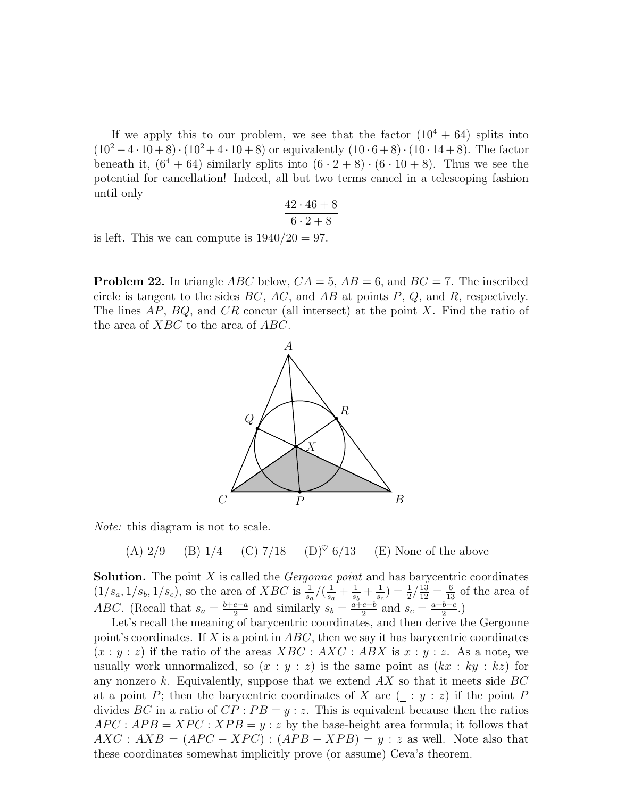If we apply this to our problem, we see that the factor  $(10^4 + 64)$  splits into  $(10^2 - 4 \cdot 10 + 8) \cdot (10^2 + 4 \cdot 10 + 8)$  or equivalently  $(10 \cdot 6 + 8) \cdot (10 \cdot 14 + 8)$ . The factor beneath it,  $(6^4 + 64)$  similarly splits into  $(6 \cdot 2 + 8) \cdot (6 \cdot 10 + 8)$ . Thus we see the potential for cancellation! Indeed, all but two terms cancel in a telescoping fashion until only

$$
\frac{42 \cdot 46 + 8}{6 \cdot 2 + 8}
$$

is left. This we can compute is  $1940/20 = 97$ .

**Problem 22.** In triangle ABC below,  $CA = 5$ ,  $AB = 6$ , and  $BC = 7$ . The inscribed circle is tangent to the sides  $BC$ ,  $AC$ , and  $AB$  at points  $P$ ,  $Q$ , and  $R$ , respectively. The lines  $AP$ ,  $BQ$ , and  $CR$  concur (all intersect) at the point X. Find the ratio of the area of XBC to the area of ABC.



Note: this diagram is not to scale.

(A)  $2/9$  (B)  $1/4$  (C)  $7/18$  (D)<sup> $\heartsuit$ </sup> 6/13 (E) None of the above

**Solution.** The point  $X$  is called the *Gergonne point* and has barycentric coordinates  $(1/s_a, 1/s_b, 1/s_c)$ , so the area of XBC is  $\frac{1}{s_a}/(\frac{1}{s_c})$  $\frac{1}{s_a} + \frac{1}{s_b}$  $\frac{1}{s_b}+\frac{1}{s_a}$  $(\frac{1}{s_c}) = \frac{1}{2} / \frac{13}{12} = \frac{6}{13}$  of the area of ABC. (Recall that  $s_a = \frac{b+c-a}{2}$  and similarly  $s_b = \frac{a+c-b}{2}$  and  $s_c = \frac{a+b-c}{2}$ .)

Let's recall the meaning of barycentric coordinates, and then derive the Gergonne point's coordinates. If X is a point in  $ABC$ , then we say it has barycentric coordinates  $(x : y : z)$  if the ratio of the areas  $XBC : AKC : ABX$  is  $x : y : z$ . As a note, we usually work unnormalized, so  $(x : y : z)$  is the same point as  $(kx : ky : kz)$  for any nonzero  $k$ . Equivalently, suppose that we extend  $AX$  so that it meets side  $BC$ at a point P; then the barycentric coordinates of X are  $($  : y : z) if the point P divides BC in a ratio of  $CP : PB = y : z$ . This is equivalent because then the ratios  $APC: APB = XPC: XPB = y: z$  by the base-height area formula; it follows that  $AXC: AXB = (APC - XPC) : (APB - XPB) = y : z$  as well. Note also that these coordinates somewhat implicitly prove (or assume) Ceva's theorem.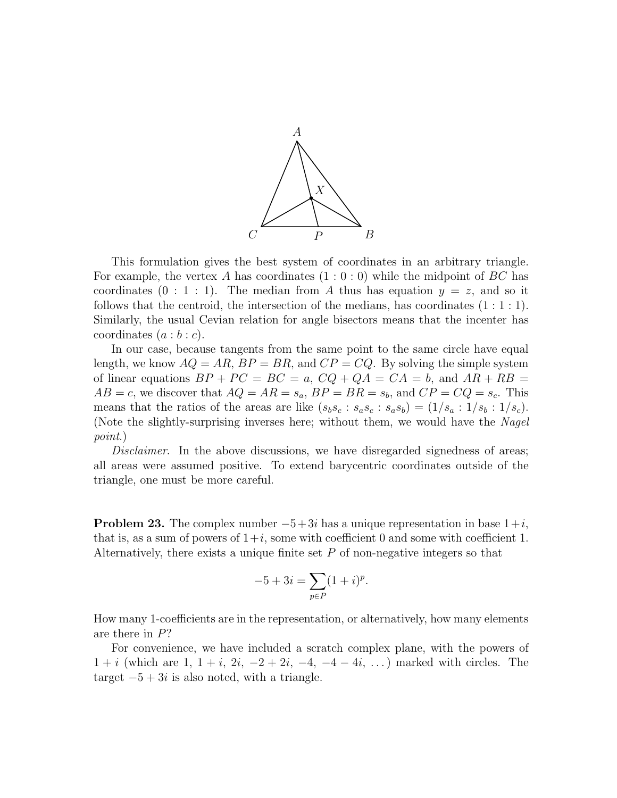

This formulation gives the best system of coordinates in an arbitrary triangle. For example, the vertex A has coordinates  $(1:0:0)$  while the midpoint of BC has coordinates  $(0 : 1 : 1)$ . The median from A thus has equation  $y = z$ , and so it follows that the centroid, the intersection of the medians, has coordinates  $(1:1:1)$ . Similarly, the usual Cevian relation for angle bisectors means that the incenter has coordinates  $(a:b:c)$ .

In our case, because tangents from the same point to the same circle have equal length, we know  $AQ = AR$ ,  $BP = BR$ , and  $CP = CQ$ . By solving the simple system of linear equations  $BP + PC = BC = a$ ,  $CQ + QA = CA = b$ , and  $AR + RB =$  $AB = c$ , we discover that  $AQ = AR = s_a$ ,  $BP = BR = s_b$ , and  $CP = CQ = s_c$ . This means that the ratios of the areas are like  $(s_b s_c : s_a s_c : s_a s_b) = (1/s_a : 1/s_b : 1/s_c).$ (Note the slightly-surprising inverses here; without them, we would have the Nagel point.)

Disclaimer. In the above discussions, we have disregarded signedness of areas; all areas were assumed positive. To extend barycentric coordinates outside of the triangle, one must be more careful.

**Problem 23.** The complex number  $-5+3i$  has a unique representation in base  $1+i$ , that is, as a sum of powers of  $1+i$ , some with coefficient 0 and some with coefficient 1. Alternatively, there exists a unique finite set P of non-negative integers so that

$$
-5 + 3i = \sum_{p \in P} (1 + i)^p.
$$

How many 1-coefficients are in the representation, or alternatively, how many elements are there in P?

For convenience, we have included a scratch complex plane, with the powers of  $1 + i$  (which are  $1, 1 + i, 2i, -2 + 2i, -4, -4 - 4i, ...$ ) marked with circles. The target  $-5+3i$  is also noted, with a triangle.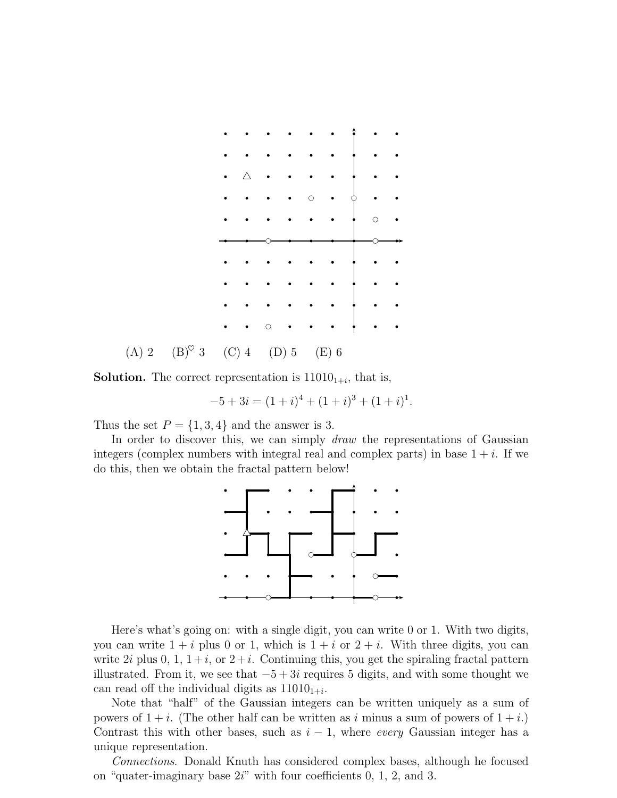

**Solution.** The correct representation is  $11010_{1+i}$ , that is,

$$
-5 + 3i = (1+i)^4 + (1+i)^3 + (1+i)^1.
$$

Thus the set  $P = \{1, 3, 4\}$  and the answer is 3.

In order to discover this, we can simply *draw* the representations of Gaussian integers (complex numbers with integral real and complex parts) in base  $1 + i$ . If we do this, then we obtain the fractal pattern below!



Here's what's going on: with a single digit, you can write 0 or 1. With two digits, you can write  $1 + i$  plus 0 or 1, which is  $1 + i$  or  $2 + i$ . With three digits, you can write 2i plus 0, 1,  $1+i$ , or  $2+i$ . Continuing this, you get the spiraling fractal pattern illustrated. From it, we see that  $-5 + 3i$  requires 5 digits, and with some thought we can read off the individual digits as  $11010_{1+i}$ .

Note that "half" of the Gaussian integers can be written uniquely as a sum of powers of  $1 + i$ . (The other half can be written as i minus a sum of powers of  $1 + i$ .) Contrast this with other bases, such as  $i - 1$ , where every Gaussian integer has a unique representation.

Connections. Donald Knuth has considered complex bases, although he focused on "quater-imaginary base 2i" with four coefficients 0, 1, 2, and 3.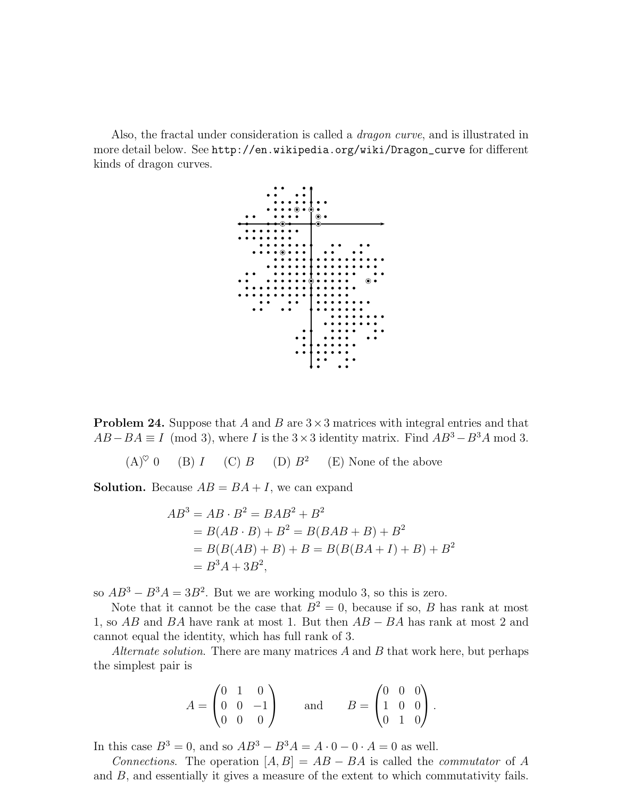Also, the fractal under consideration is called a *dragon curve*, and is illustrated in more detail below. See http://en.wikipedia.org/wiki/Dragon\_curve for different kinds of dragon curves.



**Problem 24.** Suppose that A and B are  $3 \times 3$  matrices with integral entries and that  $AB - BA \equiv I \pmod{3}$ , where I is the 3×3 identity matrix. Find  $AB^3 - B^3A \pmod{3}$ .

 $(A)^{\heartsuit}$  0 (B) I (C) B (D)  $B^2$ (E) None of the above

**Solution.** Because  $AB = BA + I$ , we can expand

$$
AB3 = AB \cdot B2 = BAB2 + B2
$$
  
= B(AB \cdot B) + B<sup>2</sup> = B(BAB + B) + B<sup>2</sup>  
= B(B(AB) + B) + B = B(B(BA + I) + B) + B<sup>2</sup>  
= B<sup>3</sup>A + 3B<sup>2</sup>,

so  $AB^3 - B^3A = 3B^2$ . But we are working modulo 3, so this is zero.

Note that it cannot be the case that  $B^2 = 0$ , because if so, B has rank at most 1, so AB and BA have rank at most 1. But then  $AB - BA$  has rank at most 2 and cannot equal the identity, which has full rank of 3.

Alternate solution. There are many matrices  $A$  and  $B$  that work here, but perhaps the simplest pair is

$$
A = \begin{pmatrix} 0 & 1 & 0 \\ 0 & 0 & -1 \\ 0 & 0 & 0 \end{pmatrix} \quad \text{and} \quad B = \begin{pmatrix} 0 & 0 & 0 \\ 1 & 0 & 0 \\ 0 & 1 & 0 \end{pmatrix}.
$$

In this case  $B^3 = 0$ , and so  $AB^3 - B^3A = A \cdot 0 - 0 \cdot A = 0$  as well.

Connections. The operation  $[A, B] = AB - BA$  is called the *commutator* of A and B, and essentially it gives a measure of the extent to which commutativity fails.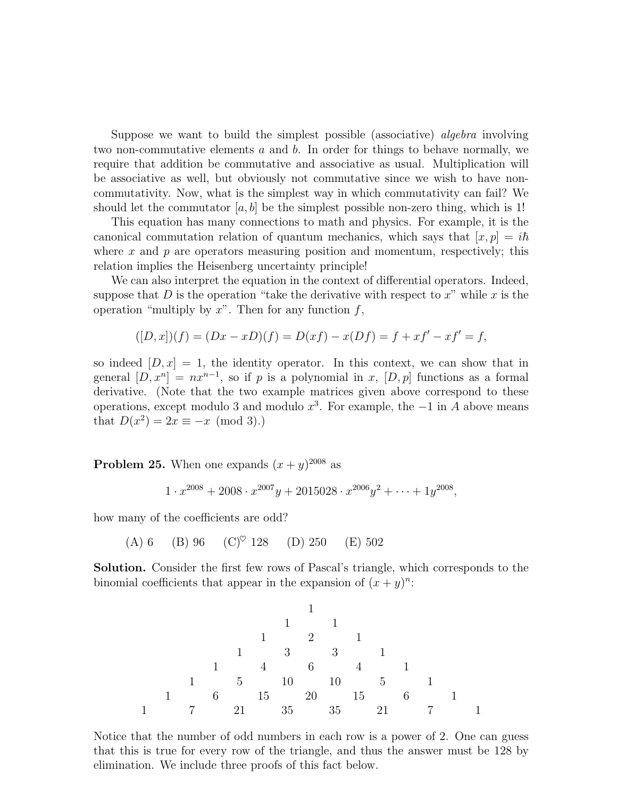Suppose we want to build the simplest possible (associative) *algebra* involving two non-commutative elements  $a$  and  $b$ . In order for things to behave normally, we require that addition be commutative and associative as usual. Multiplication will be associative as well, but obviously not commutative since we wish to have noncommutativity. Now, what is the simplest way in which commutativity can fail? We should let the commutator  $[a, b]$  be the simplest possible non-zero thing, which is 1!

This equation has many connections to math and physics. For example, it is the canonical commutation relation of quantum mechanics, which says that  $[x, p] = i\hbar$ where  $x$  and  $p$  are operators measuring position and momentum, respectively; this relation implies the Heisenberg uncertainty principle!

We can also interpret the equation in the context of differential operators. Indeed, suppose that  $D$  is the operation "take the derivative with respect to  $x$ " while  $x$  is the operation "multiply by  $x$ ". Then for any function  $f$ ,

$$
([D, x])(f) = (Dx - xD)(f) = D(xf) - x(Df) = f + xf' - xf' = f,
$$

so indeed  $[D, x] = 1$ , the identity operator. In this context, we can show that in general  $[D, x^n] = nx^{n-1}$ , so if p is a polynomial in x,  $[D, p]$  functions as a formal derivative. (Note that the two example matrices given above correspond to these operations, except modulo 3 and modulo  $x^3$ . For example, the  $-1$  in A above means that  $D(x^2) = 2x \equiv -x \pmod{3}$ .

**Problem 25.** When one expands  $(x+y)^{2008}$  as

$$
1 \cdot x^{2008} + 2008 \cdot x^{2007}y + 2015028 \cdot x^{2006}y^2 + \dots + 1y^{2008},
$$

how many of the coefficients are odd?

(A) 6 (B) 96 (C)♥ 128 (D) 250 (E) 502

Solution. Consider the first few rows of Pascal's triangle, which corresponds to the binomial coefficients that appear in the expansion of  $(x + y)^n$ :



Notice that the number of odd numbers in each row is a power of 2. One can guess that this is true for every row of the triangle, and thus the answer must be 128 by elimination. We include three proofs of this fact below.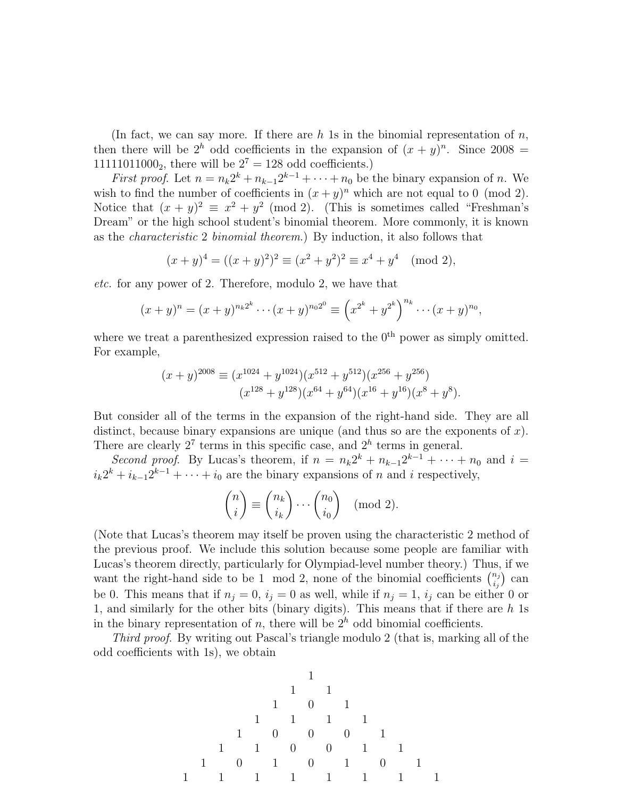(In fact, we can say more. If there are h 1s in the binomial representation of  $n$ , then there will be  $2^h$  odd coefficients in the expansion of  $(x + y)^n$ . Since 2008 = 11111011000<sub>2</sub>, there will be  $2^7 = 128$  odd coefficients.)

*First proof.* Let  $n = n_k 2^k + n_{k-1} 2^{k-1} + \cdots + n_0$  be the binary expansion of n. We wish to find the number of coefficients in  $(x+y)^n$  which are not equal to 0 (mod 2). Notice that  $(x + y)^2 \equiv x^2 + y^2 \pmod{2}$ . (This is sometimes called "Freshman's Dream" or the high school student's binomial theorem. More commonly, it is known as the characteristic 2 binomial theorem.) By induction, it also follows that

$$
(x+y)^4 = ((x+y)^2)^2 \equiv (x^2+y^2)^2 \equiv x^4+y^4 \pmod{2},
$$

etc. for any power of 2. Therefore, modulo 2, we have that

$$
(x+y)^n = (x+y)^{n_k 2^k} \cdots (x+y)^{n_0 2^0} \equiv \left(x^{2^k} + y^{2^k}\right)^{n_k} \cdots (x+y)^{n_0},
$$

where we treat a parenthesized expression raised to the  $0<sup>th</sup>$  power as simply omitted. For example,

$$
(x+y)^{2008} \equiv (x^{1024} + y^{1024})(x^{512} + y^{512})(x^{256} + y^{256})
$$

$$
(x^{128} + y^{128})(x^{64} + y^{64})(x^{16} + y^{16})(x^8 + y^8).
$$

But consider all of the terms in the expansion of the right-hand side. They are all distinct, because binary expansions are unique (and thus so are the exponents of  $x$ ). There are clearly  $2^7$  terms in this specific case, and  $2^h$  terms in general.

Second proof. By Lucas's theorem, if  $n = n_k 2^k + n_{k-1} 2^{k-1} + \cdots + n_0$  and  $i =$  $i_k 2^k + i_{k-1} 2^{k-1} + \cdots + i_0$  are the binary expansions of n and i respectively,

$$
\binom{n}{i} \equiv \binom{n_k}{i_k} \cdots \binom{n_0}{i_0} \pmod{2}.
$$

(Note that Lucas's theorem may itself be proven using the characteristic 2 method of the previous proof. We include this solution because some people are familiar with Lucas's theorem directly, particularly for Olympiad-level number theory.) Thus, if we want the right-hand side to be 1 mod 2, none of the binomial coefficients  $\binom{n_j}{i}$  $\binom{n_j}{i_j}$  can be 0. This means that if  $n_j = 0$ ,  $i_j = 0$  as well, while if  $n_j = 1$ ,  $i_j$  can be either 0 or 1, and similarly for the other bits (binary digits). This means that if there are  $h$  1s in the binary representation of  $n$ , there will be  $2<sup>h</sup>$  odd binomial coefficients.

Third proof. By writing out Pascal's triangle modulo 2 (that is, marking all of the odd coefficients with 1s), we obtain

1 1 1 1 0 1 1 1 1 1 1 0 0 0 1 1 1 0 0 1 1 1 0 1 0 1 0 1 1 1 1 1 1 1 1 1